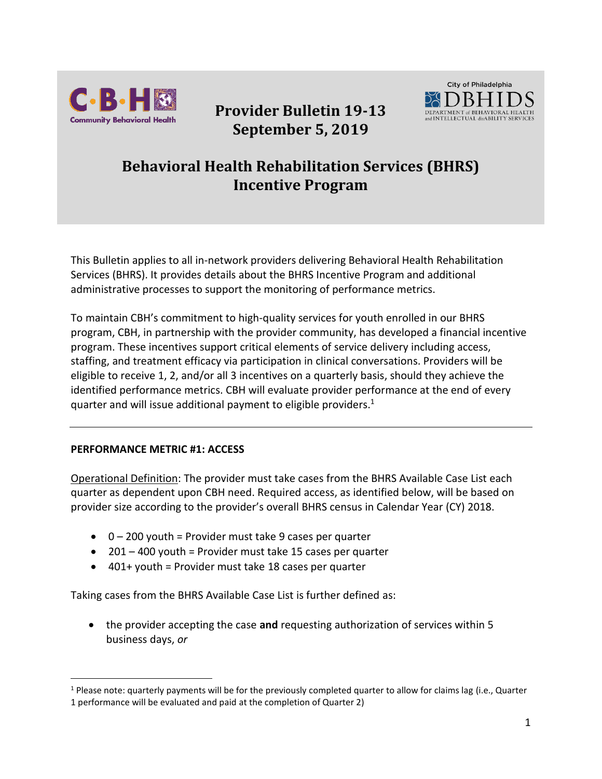

# **Provider Bulletin 19-13 September 5, 2019**



# **Behavioral Health Rehabilitation Services (BHRS) Incentive Program**

This Bulletin applies to all in-network providers delivering Behavioral Health Rehabilitation Services (BHRS). It provides details about the BHRS Incentive Program and additional administrative processes to support the monitoring of performance metrics.

To maintain CBH's commitment to high-quality services for youth enrolled in our BHRS program, CBH, in partnership with the provider community, has developed a financial incentive program. These incentives support critical elements of service delivery including access, staffing, and treatment efficacy via participation in clinical conversations. Providers will be eligible to receive 1, 2, and/or all 3 incentives on a quarterly basis, should they achieve the identified performance metrics. CBH will evaluate provider performance at the end of every quarter and will issue additional payment to eligible providers.<sup>1</sup>

#### **PERFORMANCE METRIC #1: ACCESS**

 $\overline{a}$ 

Operational Definition: The provider must take cases from the BHRS Available Case List each quarter as dependent upon CBH need. Required access, as identified below, will be based on provider size according to the provider's overall BHRS census in Calendar Year (CY) 2018.

- $\bullet$  0 200 youth = Provider must take 9 cases per quarter
- 201 400 youth = Provider must take 15 cases per quarter
- $\bullet$  401+ youth = Provider must take 18 cases per quarter

Taking cases from the BHRS Available Case List is further defined as:

• the provider accepting the case **and** requesting authorization of services within 5 business days, *or*

 $1$  Please note: quarterly payments will be for the previously completed quarter to allow for claims lag (i.e., Quarter

<sup>1</sup> performance will be evaluated and paid at the completion of Quarter 2)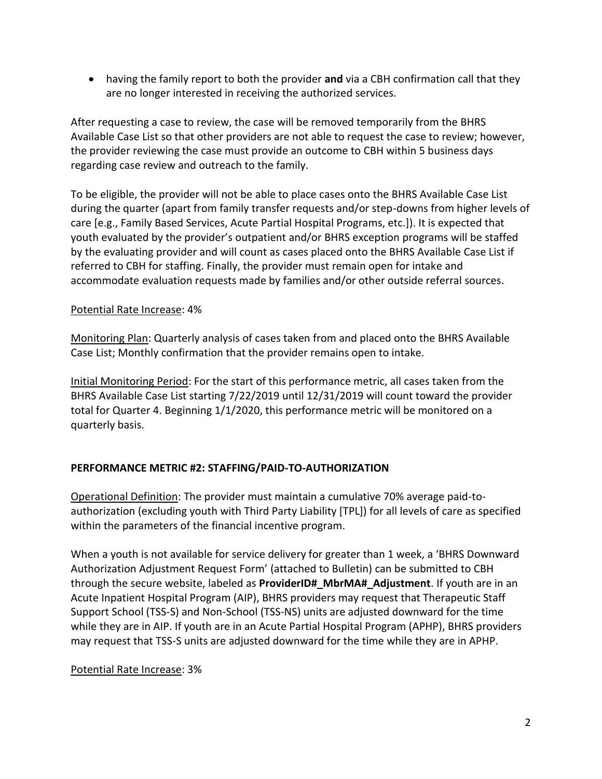• having the family report to both the provider **and** via a CBH confirmation call that they are no longer interested in receiving the authorized services.

After requesting a case to review, the case will be removed temporarily from the BHRS Available Case List so that other providers are not able to request the case to review; however, the provider reviewing the case must provide an outcome to CBH within 5 business days regarding case review and outreach to the family.

To be eligible, the provider will not be able to place cases onto the BHRS Available Case List during the quarter (apart from family transfer requests and/or step-downs from higher levels of care [e.g., Family Based Services, Acute Partial Hospital Programs, etc.]). It is expected that youth evaluated by the provider's outpatient and/or BHRS exception programs will be staffed by the evaluating provider and will count as cases placed onto the BHRS Available Case List if referred to CBH for staffing. Finally, the provider must remain open for intake and accommodate evaluation requests made by families and/or other outside referral sources.

#### Potential Rate Increase: 4%

Monitoring Plan: Quarterly analysis of cases taken from and placed onto the BHRS Available Case List; Monthly confirmation that the provider remains open to intake.

Initial Monitoring Period: For the start of this performance metric, all cases taken from the BHRS Available Case List starting 7/22/2019 until 12/31/2019 will count toward the provider total for Quarter 4. Beginning 1/1/2020, this performance metric will be monitored on a quarterly basis.

### **PERFORMANCE METRIC #2: STAFFING/PAID-TO-AUTHORIZATION**

Operational Definition: The provider must maintain a cumulative 70% average paid-toauthorization (excluding youth with Third Party Liability [TPL]) for all levels of care as specified within the parameters of the financial incentive program.

When a youth is not available for service delivery for greater than 1 week, a 'BHRS Downward Authorization Adjustment Request Form' (attached to Bulletin) can be submitted to CBH through the secure website, labeled as **ProviderID#\_MbrMA#\_Adjustment**. If youth are in an Acute Inpatient Hospital Program (AIP), BHRS providers may request that Therapeutic Staff Support School (TSS-S) and Non-School (TSS-NS) units are adjusted downward for the time while they are in AIP. If youth are in an Acute Partial Hospital Program (APHP), BHRS providers may request that TSS-S units are adjusted downward for the time while they are in APHP.

### Potential Rate Increase: 3%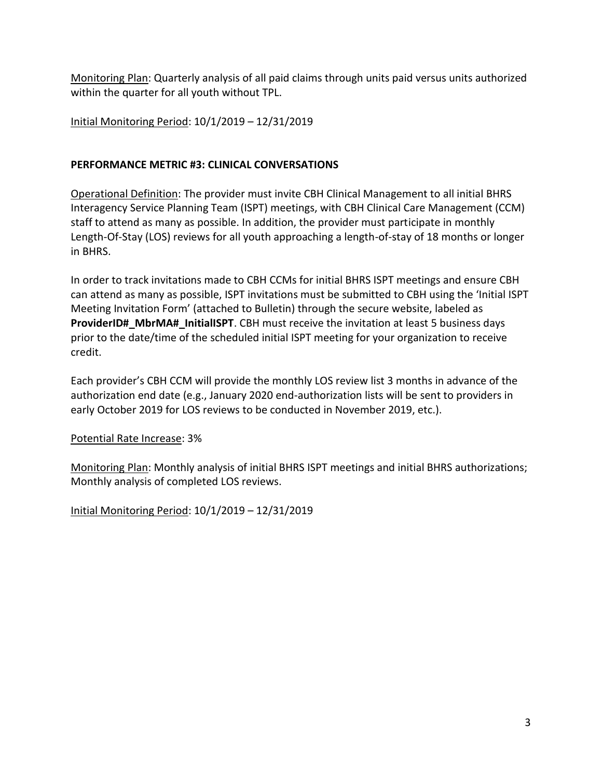Monitoring Plan: Quarterly analysis of all paid claims through units paid versus units authorized within the quarter for all youth without TPL.

Initial Monitoring Period: 10/1/2019 – 12/31/2019

## **PERFORMANCE METRIC #3: CLINICAL CONVERSATIONS**

Operational Definition: The provider must invite CBH Clinical Management to all initial BHRS Interagency Service Planning Team (ISPT) meetings, with CBH Clinical Care Management (CCM) staff to attend as many as possible. In addition, the provider must participate in monthly Length-Of-Stay (LOS) reviews for all youth approaching a length-of-stay of 18 months or longer in BHRS.

In order to track invitations made to CBH CCMs for initial BHRS ISPT meetings and ensure CBH can attend as many as possible, ISPT invitations must be submitted to CBH using the 'Initial ISPT Meeting Invitation Form' (attached to Bulletin) through the secure website, labeled as **ProviderID#\_MbrMA#\_InitialISPT**. CBH must receive the invitation at least 5 business days prior to the date/time of the scheduled initial ISPT meeting for your organization to receive credit.

Each provider's CBH CCM will provide the monthly LOS review list 3 months in advance of the authorization end date (e.g., January 2020 end-authorization lists will be sent to providers in early October 2019 for LOS reviews to be conducted in November 2019, etc.).

### Potential Rate Increase: 3%

Monitoring Plan: Monthly analysis of initial BHRS ISPT meetings and initial BHRS authorizations; Monthly analysis of completed LOS reviews.

Initial Monitoring Period: 10/1/2019 – 12/31/2019